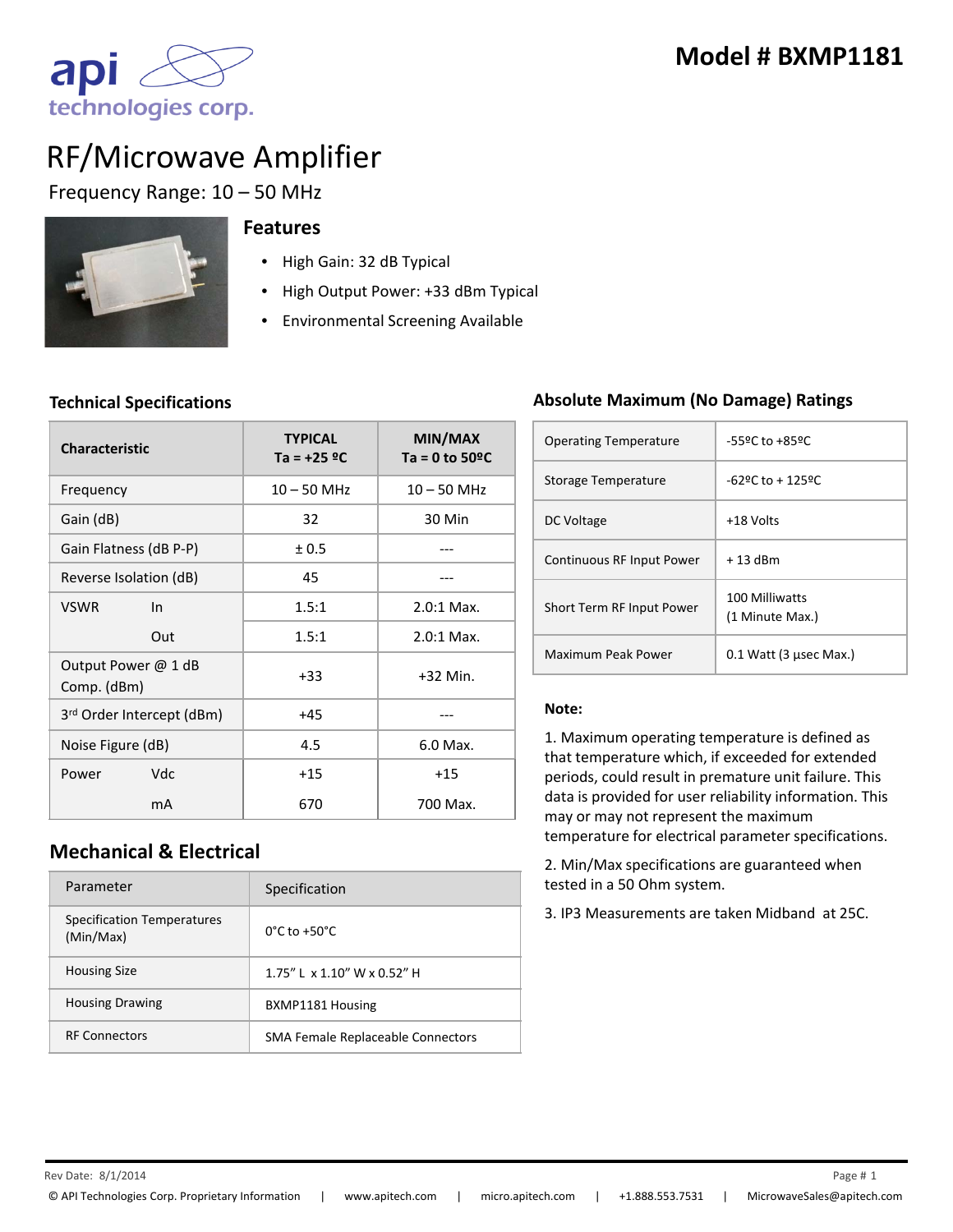

# RF/Microwave Amplifier

Frequency Range: 10 – 50 MHz



#### **Features**

- High Gain: 32 dB Typical
- High Output Power: +33 dBm Typical
- Environmental Screening Available

#### **Technical Specifications**

| <b>Characteristic</b>              | <b>TYPICAL</b><br>Ta = $+25$ °C | MIN/MAX<br>Ta = 0 to $50^{\circ}$ C |
|------------------------------------|---------------------------------|-------------------------------------|
| Frequency                          | $10 - 50$ MHz                   | $10 - 50$ MHz                       |
| Gain (dB)                          | 32                              | 30 Min                              |
| Gain Flatness (dB P-P)             | ± 0.5                           |                                     |
| Reverse Isolation (dB)             | 45                              |                                     |
| <b>VSWR</b><br>In                  | 1.5:1                           | $2.0:1$ Max.                        |
| Out                                | 1.5:1                           | $2.0:1$ Max.                        |
| Output Power @ 1 dB<br>Comp. (dBm) | $+33$                           | $+32$ Min.                          |
| 3rd Order Intercept (dBm)          | $+45$                           |                                     |
| Noise Figure (dB)                  | 4.5                             | 6.0 Max.                            |
| Vdc<br>Power                       | $+15$                           | $+15$                               |
| mA                                 | 670                             | 700 Max.                            |

## **Mechanical & Electrical**

| Parameter                                      | Specification                     |
|------------------------------------------------|-----------------------------------|
| <b>Specification Temperatures</b><br>(Min/Max) | $0^{\circ}$ C to +50 $^{\circ}$ C |
| <b>Housing Size</b>                            | 1.75" L x 1.10" W x 0.52" H       |
| <b>Housing Drawing</b>                         | BXMP1181 Housing                  |
| <b>RF Connectors</b>                           | SMA Female Replaceable Connectors |

#### **Absolute Maximum (No Damage) Ratings**

| <b>Operating Temperature</b> | -55ºC to +85ºC                    |
|------------------------------|-----------------------------------|
| Storage Temperature          | $-629$ C to + 1259C.              |
| DC Voltage                   | +18 Volts                         |
| Continuous RF Input Power    | $+13$ dBm                         |
| Short Term RF Input Power    | 100 Milliwatts<br>(1 Minute Max.) |
| Maximum Peak Power           | $0.1$ Watt (3 usec Max.)          |

#### **Note:**

1. Maximum operating temperature is defined as that temperature which, if exceeded for extended periods, could result in premature unit failure. This data is provided for user reliability information. This may or may not represent the maximum temperature for electrical parameter specifications.

2. Min/Max specifications are guaranteed when tested in a 50 Ohm system.

3. IP3 Measurements are taken Midband at 25C.

 $\mathsf{Re} \nu$  Date:  $8/1/2014$  Page # 1 8/1/2014 1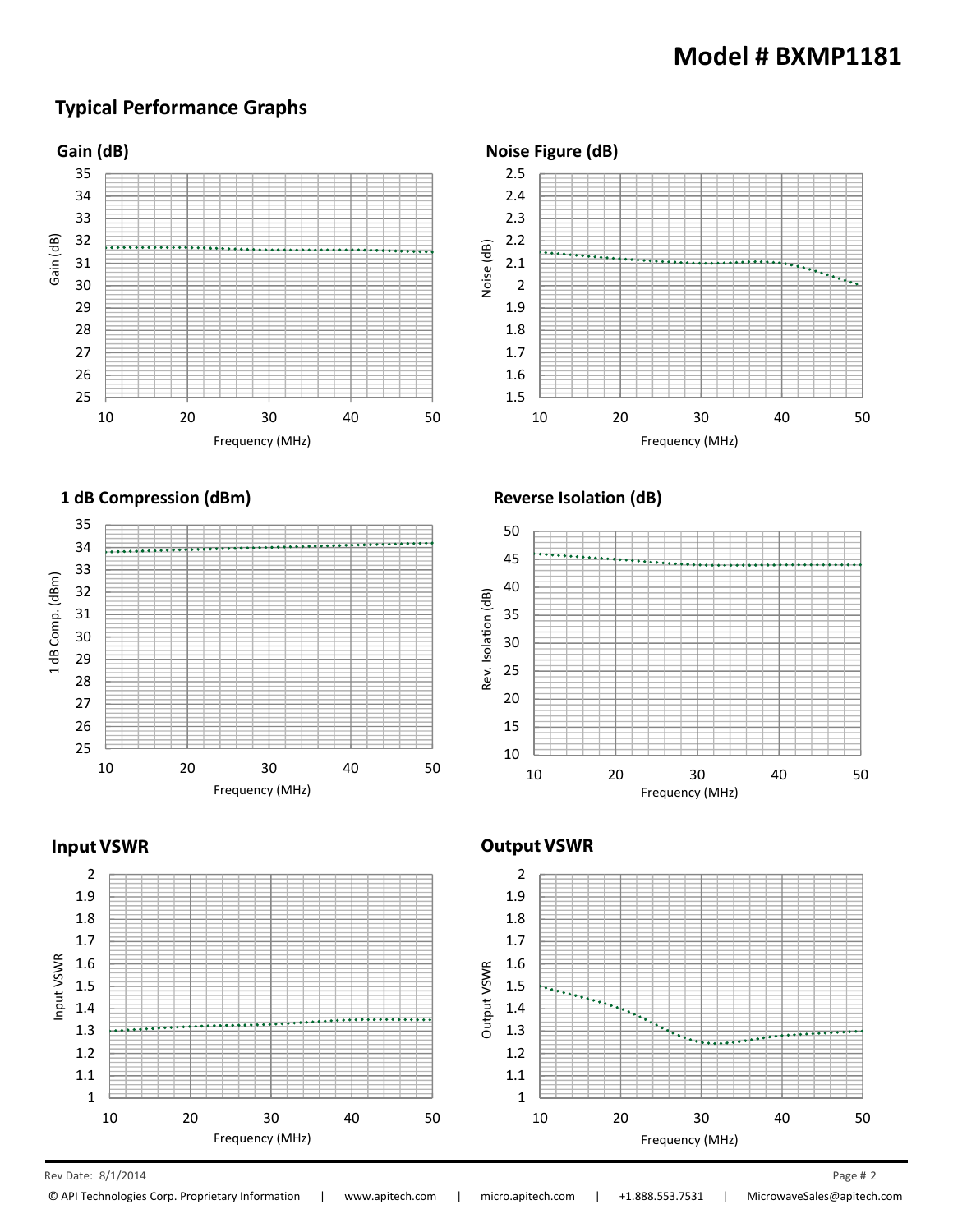### **Typical Performance Graphs**